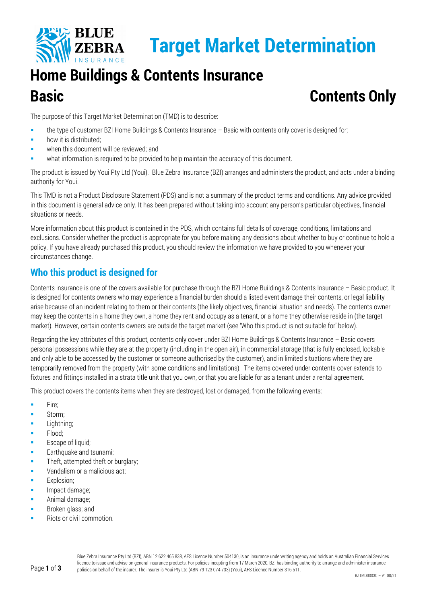

# **Home Buildings & Contents Insurance Basic Contents Only**

The purpose of this Target Market Determination (TMD) is to describe:

- the type of customer BZI Home Buildings & Contents Insurance Basic with contents only cover is designed for;
- how it is distributed;
- when this document will be reviewed; and
- what information is required to be provided to help maintain the accuracy of this document.

The product is issued by Youi Pty Ltd (Youi). Blue Zebra Insurance (BZI) arranges and administers the product, and acts under a binding authority for Youi.

This TMD is not a Product Disclosure Statement (PDS) and is not a summary of the product terms and conditions. Any advice provided in this document is general advice only. It has been prepared without taking into account any person's particular objectives, financial situations or needs.

More information about this product is contained in the PDS, which contains full details of coverage, conditions, limitations and exclusions. Consider whether the product is appropriate for you before making any decisions about whether to buy or continue to hold a policy. If you have already purchased this product, you should review the information we have provided to you whenever your circumstances change.

# **Who this product is designed for**

Contents insurance is one of the covers available for purchase through the BZI Home Buildings & Contents Insurance – Basic product. It is designed for contents owners who may experience a financial burden should a listed event damage their contents, or legal liability arise because of an incident relating to them or their contents (the likely objectives, financial situation and needs). The contents owner may keep the contents in a home they own, a home they rent and occupy as a tenant, or a home they otherwise reside in (the target market). However, certain contents owners are outside the target market (see 'Who this product is not suitable for' below).

Regarding the key attributes of this product, contents only cover under BZI Home Buildings & Contents Insurance – Basic covers personal possessions while they are at the property (including in the open air), in commercial storage (that is fully enclosed, lockable and only able to be accessed by the customer or someone authorised by the customer), and in limited situations where they are temporarily removed from the property (with some conditions and limitations). The items covered under contents cover extends to fixtures and fittings installed in a strata title unit that you own, or that you are liable for as a tenant under a rental agreement.

This product covers the contents items when they are destroyed, lost or damaged, from the following events:

- Fire;
- **Storm**;
- **Lightning**;
- Flood;
- Escape of liquid;
- **Earthquake and tsunami;**
- Theft, attempted theft or burglary;
- Vandalism or a malicious act;
- **Explosion:**
- Impact damage;
- Animal damage;
- **Broken glass; and**
- Riots or civil commotion.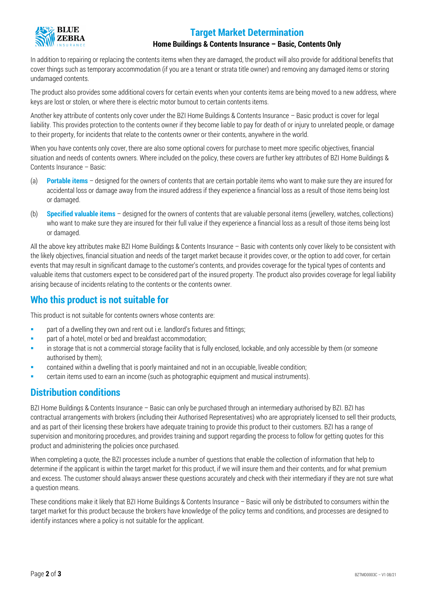# **Target Market Determination**



#### **Home Buildings & Contents Insurance – Basic, Contents Only**

In addition to repairing or replacing the contents items when they are damaged, the product will also provide for additional benefits that cover things such as temporary accommodation (if you are a tenant or strata title owner) and removing any damaged items or storing undamaged contents.

The product also provides some additional covers for certain events when your contents items are being moved to a new address, where keys are lost or stolen, or where there is electric motor burnout to certain contents items.

Another key attribute of contents only cover under the BZI Home Buildings & Contents Insurance – Basic product is cover for legal liability. This provides protection to the contents owner if they become liable to pay for death of or injury to unrelated people, or damage to their property, for incidents that relate to the contents owner or their contents, anywhere in the world.

When you have contents only cover, there are also some optional covers for purchase to meet more specific objectives, financial situation and needs of contents owners. Where included on the policy, these covers are further key attributes of BZI Home Buildings & Contents Insurance – Basic:

- (a) **Portable items** designed for the owners of contents that are certain portable items who want to make sure they are insured for accidental loss or damage away from the insured address if they experience a financial loss as a result of those items being lost or damaged.
- (b) **Specified valuable items** designed for the owners of contents that are valuable personal items (jewellery, watches, collections) who want to make sure they are insured for their full value if they experience a financial loss as a result of those items being lost or damaged.

All the above key attributes make BZI Home Buildings & Contents Insurance – Basic with contents only cover likely to be consistent with the likely objectives, financial situation and needs of the target market because it provides cover, or the option to add cover, for certain events that may result in significant damage to the customer's contents, and provides coverage for the typical types of contents and valuable items that customers expect to be considered part of the insured property. The product also provides coverage for legal liability arising because of incidents relating to the contents or the contents owner.

#### **Who this product is not suitable for**

This product is not suitable for contents owners whose contents are:

- **EXECT** part of a dwelling they own and rent out i.e. landlord's fixtures and fittings;
- part of a hotel, motel or bed and breakfast accommodation;
- in storage that is not a commercial storage facility that is fully enclosed, lockable, and only accessible by them (or someone authorised by them);
- contained within a dwelling that is poorly maintained and not in an occupiable, liveable condition;
- certain items used to earn an income (such as photographic equipment and musical instruments).

#### **Distribution conditions**

BZI Home Buildings & Contents Insurance – Basic can only be purchased through an intermediary authorised by BZI. BZI has contractual arrangements with brokers (including their Authorised Representatives) who are appropriately licensed to sell their products, and as part of their licensing these brokers have adequate training to provide this product to their customers. BZI has a range of supervision and monitoring procedures, and provides training and support regarding the process to follow for getting quotes for this product and administering the policies once purchased.

When completing a quote, the BZI processes include a number of questions that enable the collection of information that help to determine if the applicant is within the target market for this product, if we will insure them and their contents, and for what premium and excess. The customer should always answer these questions accurately and check with their intermediary if they are not sure what a question means.

These conditions make it likely that BZI Home Buildings & Contents Insurance – Basic will only be distributed to consumers within the target market for this product because the brokers have knowledge of the policy terms and conditions, and processes are designed to identify instances where a policy is not suitable for the applicant.